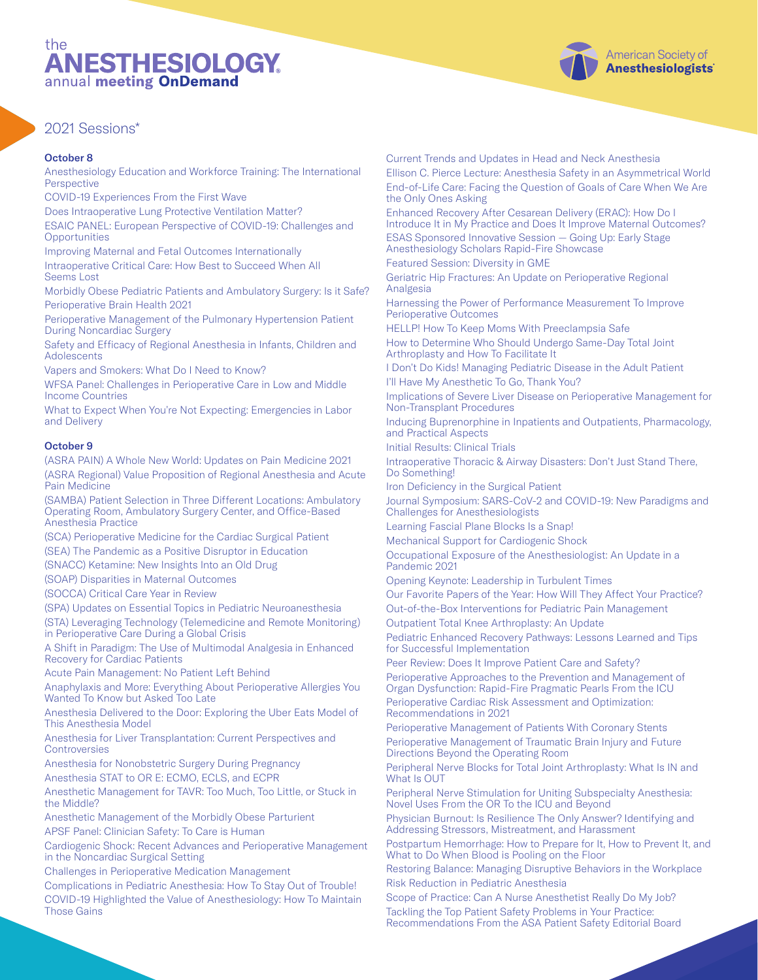# the **NESTHESIOLOGY** annual meeting OnDemand

## 2021 Sessions\*

#### October 8

Anesthesiology Education and Workforce Training: The International Perspective

COVID-19 Experiences From the First Wave

Does Intraoperative Lung Protective Ventilation Matter?

ESAIC PANEL: European Perspective of COVID-19: Challenges and **Opportunities** 

Improving Maternal and Fetal Outcomes Internationally Intraoperative Critical Care: How Best to Succeed When All Seems Lost

Morbidly Obese Pediatric Patients and Ambulatory Surgery: Is it Safe? Perioperative Brain Health 2021

Perioperative Management of the Pulmonary Hypertension Patient During Noncardiac Surgery

Safety and Efficacy of Regional Anesthesia in Infants, Children and Adolescents

Vapers and Smokers: What Do I Need to Know?

WFSA Panel: Challenges in Perioperative Care in Low and Middle Income Countries

What to Expect When You're Not Expecting: Emergencies in Labor and Delivery

#### October 9

(ASRA PAIN) A Whole New World: Updates on Pain Medicine 2021 (ASRA Regional) Value Proposition of Regional Anesthesia and Acute Pain Medicine

(SAMBA) Patient Selection in Three Different Locations: Ambulatory Operating Room, Ambulatory Surgery Center, and Office-Based Anesthesia Practice

(SCA) Perioperative Medicine for the Cardiac Surgical Patient

(SEA) The Pandemic as a Positive Disruptor in Education

(SNACC) Ketamine: New Insights Into an Old Drug

(SOAP) Disparities in Maternal Outcomes

(SOCCA) Critical Care Year in Review

(SPA) Updates on Essential Topics in Pediatric Neuroanesthesia

(STA) Leveraging Technology (Telemedicine and Remote Monitoring) in Perioperative Care During a Global Crisis

A Shift in Paradigm: The Use of Multimodal Analgesia in Enhanced Recovery for Cardiac Patients

Acute Pain Management: No Patient Left Behind

Anaphylaxis and More: Everything About Perioperative Allergies You Wanted To Know but Asked Too Late

Anesthesia Delivered to the Door: Exploring the Uber Eats Model of This Anesthesia Model

Anesthesia for Liver Transplantation: Current Perspectives and **Controversies** 

Anesthesia for Nonobstetric Surgery During Pregnancy Anesthesia STAT to OR E: ECMO, ECLS, and ECPR

Anesthetic Management for TAVR: Too Much, Too Little, or Stuck in the Middle?

Anesthetic Management of the Morbidly Obese Parturient APSF Panel: Clinician Safety: To Care is Human

Cardiogenic Shock: Recent Advances and Perioperative Management in the Noncardiac Surgical Setting

Challenges in Perioperative Medication Management

Complications in Pediatric Anesthesia: How To Stay Out of Trouble! COVID-19 Highlighted the Value of Anesthesiology: How To Maintain Those Gains

Current Trends and Updates in Head and Neck Anesthesia Ellison C. Pierce Lecture: Anesthesia Safety in an Asymmetrical World End-of-Life Care: Facing the Question of Goals of Care When We Are the Only Ones Asking

Enhanced Recovery After Cesarean Delivery (ERAC): How Do I Introduce It in My Practice and Does It Improve Maternal Outcomes? ESAS Sponsored Innovative Session — Going Up: Early Stage Anesthesiology Scholars Rapid-Fire Showcase

Featured Session: Diversity in GME

Geriatric Hip Fractures: An Update on Perioperative Regional Analgesia

Harnessing the Power of Performance Measurement To Improve Perioperative Outcomes

HELLP! How To Keep Moms With Preeclampsia Safe How to Determine Who Should Undergo Same-Day Total Joint Arthroplasty and How To Facilitate It

I Don't Do Kids! Managing Pediatric Disease in the Adult Patient I'll Have My Anesthetic To Go, Thank You?

Implications of Severe Liver Disease on Perioperative Management for Non-Transplant Procedures

Inducing Buprenorphine in Inpatients and Outpatients, Pharmacology, and Practical Aspects

Initial Results: Clinical Trials

Intraoperative Thoracic & Airway Disasters: Don't Just Stand There, Do Something!

Iron Deficiency in the Surgical Patient

Journal Symposium: SARS-CoV-2 and COVID-19: New Paradigms and Challenges for Anesthesiologists

Learning Fascial Plane Blocks Is a Snap!

Mechanical Support for Cardiogenic Shock

Occupational Exposure of the Anesthesiologist: An Update in a Pandemic 2021

Opening Keynote: Leadership in Turbulent Times

Our Favorite Papers of the Year: How Will They Affect Your Practice? Out-of-the-Box Interventions for Pediatric Pain Management

Outpatient Total Knee Arthroplasty: An Update

Pediatric Enhanced Recovery Pathways: Lessons Learned and Tips for Successful Implementation

Peer Review: Does It Improve Patient Care and Safety?

Perioperative Approaches to the Prevention and Management of Organ Dysfunction: Rapid-Fire Pragmatic Pearls From the ICU Perioperative Cardiac Risk Assessment and Optimization: Recommendations in 2021

Perioperative Management of Patients With Coronary Stents Perioperative Management of Traumatic Brain Injury and Future Directions Beyond the Operating Room

Peripheral Nerve Blocks for Total Joint Arthroplasty: What Is IN and What Is OUT

Peripheral Nerve Stimulation for Uniting Subspecialty Anesthesia: Novel Uses From the OR To the ICU and Beyond

Physician Burnout: Is Resilience The Only Answer? Identifying and Addressing Stressors, Mistreatment, and Harassment

Postpartum Hemorrhage: How to Prepare for It, How to Prevent It, and What to Do When Blood is Pooling on the Floor

Restoring Balance: Managing Disruptive Behaviors in the Workplace Risk Reduction in Pediatric Anesthesia

Scope of Practice: Can A Nurse Anesthetist Really Do My Job? Tackling the Top Patient Safety Problems in Your Practice: Recommendations From the ASA Patient Safety Editorial Board

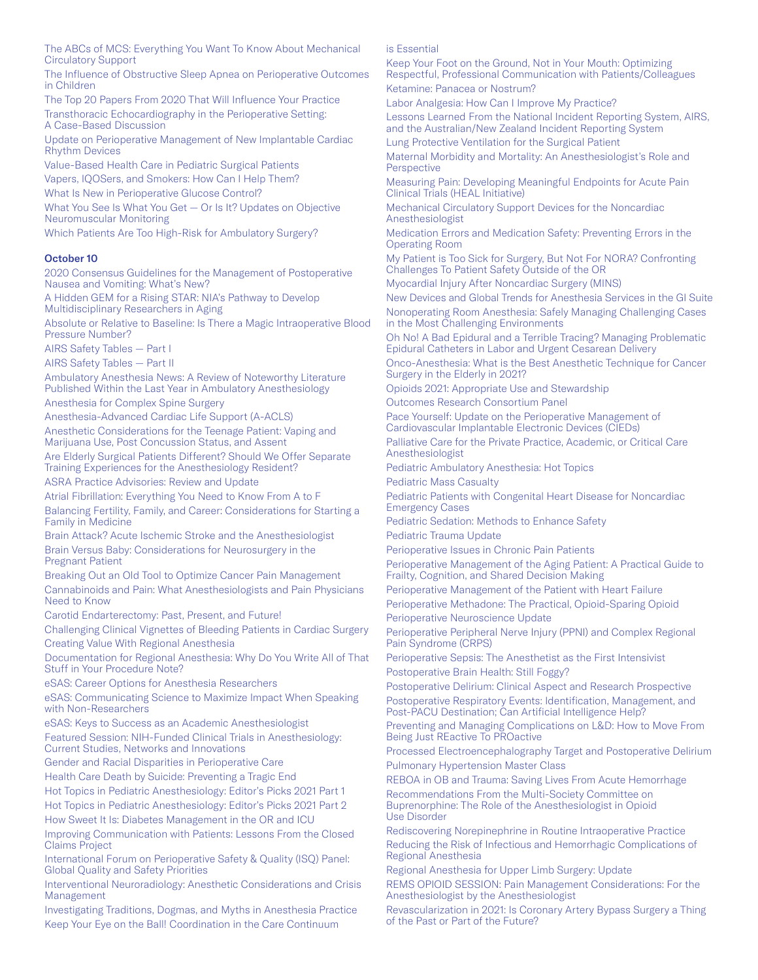The ABCs of MCS: Everything You Want To Know About Mechanical Circulatory Support

The Influence of Obstructive Sleep Apnea on Perioperative Outcomes in Children

The Top 20 Papers From 2020 That Will Influence Your Practice Transthoracic Echocardiography in the Perioperative Setting: A Case-Based Discussion

Update on Perioperative Management of New Implantable Cardiac Rhythm Devices

Value-Based Health Care in Pediatric Surgical Patients Vapers, IQOSers, and Smokers: How Can I Help Them?

What Is New in Perioperative Glucose Control?

What You See Is What You Get — Or Is It? Updates on Objective Neuromuscular Monitoring

Which Patients Are Too High-Risk for Ambulatory Surgery?

### October 10

2020 Consensus Guidelines for the Management of Postoperative Nausea and Vomiting: What's New?

A Hidden GEM for a Rising STAR: NIA's Pathway to Develop Multidisciplinary Researchers in Aging

Absolute or Relative to Baseline: Is There a Magic Intraoperative Blood Pressure Number?

AIRS Safety Tables — Part I

AIRS Safety Tables — Part II

Ambulatory Anesthesia News: A Review of Noteworthy Literature Published Within the Last Year in Ambulatory Anesthesiology Anesthesia for Complex Spine Surgery

Anesthesia-Advanced Cardiac Life Support (A-ACLS)

Anesthetic Considerations for the Teenage Patient: Vaping and Marijuana Use, Post Concussion Status, and Assent

Are Elderly Surgical Patients Different? Should We Offer Separate Training Experiences for the Anesthesiology Resident?

ASRA Practice Advisories: Review and Update

Atrial Fibrillation: Everything You Need to Know From A to F Balancing Fertility, Family, and Career: Considerations for Starting a Family in Medicine

Brain Attack? Acute Ischemic Stroke and the Anesthesiologist

Brain Versus Baby: Considerations for Neurosurgery in the Pregnant Patient

Breaking Out an Old Tool to Optimize Cancer Pain Management Cannabinoids and Pain: What Anesthesiologists and Pain Physicians Need to Know

Carotid Endarterectomy: Past, Present, and Future!

Challenging Clinical Vignettes of Bleeding Patients in Cardiac Surgery Creating Value With Regional Anesthesia

Documentation for Regional Anesthesia: Why Do You Write All of That Stuff in Your Procedure Note?

eSAS: Career Options for Anesthesia Researchers

eSAS: Communicating Science to Maximize Impact When Speaking with Non-Researchers

eSAS: Keys to Success as an Academic Anesthesiologist Featured Session: NIH-Funded Clinical Trials in Anesthesiology: Current Studies, Networks and Innovations

Gender and Racial Disparities in Perioperative Care

Health Care Death by Suicide: Preventing a Tragic End

Hot Topics in Pediatric Anesthesiology: Editor's Picks 2021 Part 1 Hot Topics in Pediatric Anesthesiology: Editor's Picks 2021 Part 2

How Sweet It Is: Diabetes Management in the OR and ICU

Improving Communication with Patients: Lessons From the Closed Claims Project

International Forum on Perioperative Safety & Quality (ISQ) Panel: Global Quality and Safety Priorities

Interventional Neuroradiology: Anesthetic Considerations and Crisis Management

Investigating Traditions, Dogmas, and Myths in Anesthesia Practice Keep Your Eye on the Ball! Coordination in the Care Continuum

is Essential

Keep Your Foot on the Ground, Not in Your Mouth: Optimizing Respectful, Professional Communication with Patients/Colleagues Ketamine: Panacea or Nostrum?

Labor Analgesia: How Can I Improve My Practice?

Lessons Learned From the National Incident Reporting System, AIRS, and the Australian/New Zealand Incident Reporting System

Lung Protective Ventilation for the Surgical Patient

Maternal Morbidity and Mortality: An Anesthesiologist's Role and **Perspective** 

Measuring Pain: Developing Meaningful Endpoints for Acute Pain Clinical Trials (HEAL Initiative)

Mechanical Circulatory Support Devices for the Noncardiac Anesthesiologist

Medication Errors and Medication Safety: Preventing Errors in the Operating Room

My Patient is Too Sick for Surgery, But Not For NORA? Confronting Challenges To Patient Safety Outside of the OR

Myocardial Injury After Noncardiac Surgery (MINS)

New Devices and Global Trends for Anesthesia Services in the GI Suite Nonoperating Room Anesthesia: Safely Managing Challenging Cases in the Most Challenging Environments

Oh No! A Bad Epidural and a Terrible Tracing? Managing Problematic Epidural Catheters in Labor and Urgent Cesarean Delivery

Onco-Anesthesia: What is the Best Anesthetic Technique for Cancer Surgery in the Elderly in 2021?

Opioids 2021: Appropriate Use and Stewardship Outcomes Research Consortium Panel

Pace Yourself: Update on the Perioperative Management of Cardiovascular Implantable Electronic Devices (CIEDs)

Palliative Care for the Private Practice, Academic, or Critical Care Anesthesiologist

Pediatric Ambulatory Anesthesia: Hot Topics

Pediatric Mass Casualty

Pediatric Patients with Congenital Heart Disease for Noncardiac Emergency Cases

Pediatric Sedation: Methods to Enhance Safety Pediatric Trauma Update

Perioperative Issues in Chronic Pain Patients

Perioperative Management of the Aging Patient: A Practical Guide to Frailty, Cognition, and Shared Decision Making

Perioperative Management of the Patient with Heart Failure

Perioperative Methadone: The Practical, Opioid-Sparing Opioid Perioperative Neuroscience Update

Perioperative Peripheral Nerve Injury (PPNI) and Complex Regional Pain Syndrome (CRPS)

Perioperative Sepsis: The Anesthetist as the First Intensivist Postoperative Brain Health: Still Foggy?

Postoperative Delirium: Clinical Aspect and Research Prospective Postoperative Respiratory Events: Identification, Management, and Post-PACU Destination; Can Artificial Intelligence Help?

Preventing and Managing Complications on L&D: How to Move From Being Just REactive To PROactive

Processed Electroencephalography Target and Postoperative Delirium Pulmonary Hypertension Master Class

REBOA in OB and Trauma: Saving Lives From Acute Hemorrhage

Recommendations From the Multi-Society Committee on Buprenorphine: The Role of the Anesthesiologist in Opioid Use Disorder

Rediscovering Norepinephrine in Routine Intraoperative Practice Reducing the Risk of Infectious and Hemorrhagic Complications of Regional Anesthesia

Regional Anesthesia for Upper Limb Surgery: Update REMS OPIOID SESSION: Pain Management Considerations: For the Anesthesiologist by the Anesthesiologist

Revascularization in 2021: Is Coronary Artery Bypass Surgery a Thing of the Past or Part of the Future?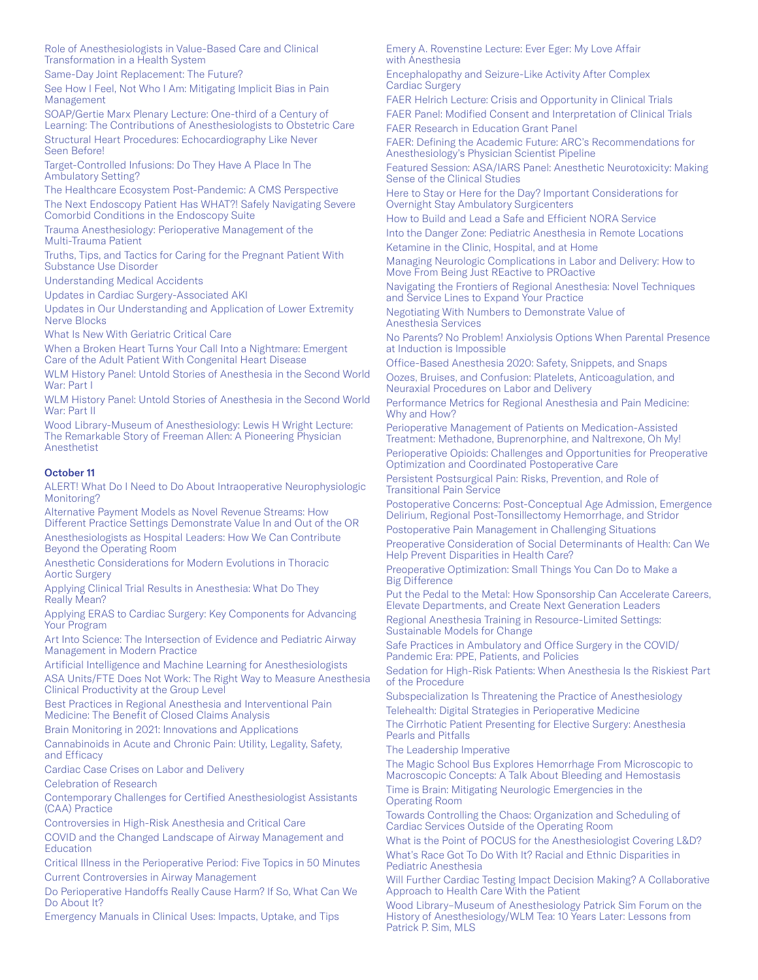Role of Anesthesiologists in Value-Based Care and Clinical Transformation in a Health System

Same-Day Joint Replacement: The Future?

See How I Feel, Not Who I Am: Mitigating Implicit Bias in Pain Management

SOAP/Gertie Marx Plenary Lecture: One-third of a Century of Learning: The Contributions of Anesthesiologists to Obstetric Care Structural Heart Procedures: Echocardiography Like Never Seen Before!

Target-Controlled Infusions: Do They Have A Place In The Ambulatory Setting?

The Healthcare Ecosystem Post-Pandemic: A CMS Perspective The Next Endoscopy Patient Has WHAT?! Safely Navigating Severe Comorbid Conditions in the Endoscopy Suite

Trauma Anesthesiology: Perioperative Management of the Multi-Trauma Patient

Truths, Tips, and Tactics for Caring for the Pregnant Patient With Substance Use Disorder

Understanding Medical Accidents

Updates in Cardiac Surgery-Associated AKI

Updates in Our Understanding and Application of Lower Extremity Nerve Blocks

What Is New With Geriatric Critical Care

When a Broken Heart Turns Your Call Into a Nightmare: Emergent Care of the Adult Patient With Congenital Heart Disease

WLM History Panel: Untold Stories of Anesthesia in the Second World War: Part I

WLM History Panel: Untold Stories of Anesthesia in the Second World War: Part II

Wood Library-Museum of Anesthesiology: Lewis H Wright Lecture: The Remarkable Story of Freeman Allen: A Pioneering Physician Anesthetist

#### October 11

ALERT! What Do I Need to Do About Intraoperative Neurophysiologic Monitoring?

Alternative Payment Models as Novel Revenue Streams: How Different Practice Settings Demonstrate Value In and Out of the OR Anesthesiologists as Hospital Leaders: How We Can Contribute Beyond the Operating Room

Anesthetic Considerations for Modern Evolutions in Thoracic Aortic Surgery

Applying Clinical Trial Results in Anesthesia: What Do They Really Mean?

Applying ERAS to Cardiac Surgery: Key Components for Advancing Your Program

Art Into Science: The Intersection of Evidence and Pediatric Airway Management in Modern Practice

Artificial Intelligence and Machine Learning for Anesthesiologists

ASA Units/FTE Does Not Work: The Right Way to Measure Anesthesia Clinical Productivity at the Group Level

Best Practices in Regional Anesthesia and Interventional Pain Medicine: The Benefit of Closed Claims Analysis

Brain Monitoring in 2021: Innovations and Applications

Cannabinoids in Acute and Chronic Pain: Utility, Legality, Safety, and Efficacy

Cardiac Case Crises on Labor and Delivery

Celebration of Research

Contemporary Challenges for Certified Anesthesiologist Assistants (CAA) Practice

Controversies in High-Risk Anesthesia and Critical Care

COVID and the Changed Landscape of Airway Management and **Education** 

Critical Illness in the Perioperative Period: Five Topics in 50 Minutes Current Controversies in Airway Management

Do Perioperative Handoffs Really Cause Harm? If So, What Can We Do About It?

Emergency Manuals in Clinical Uses: Impacts, Uptake, and Tips

Emery A. Rovenstine Lecture: Ever Eger: My Love Affair with Anesthesia

Encephalopathy and Seizure-Like Activity After Complex Cardiac Surgery

FAER Helrich Lecture: Crisis and Opportunity in Clinical Trials FAER Panel: Modified Consent and Interpretation of Clinical Trials FAER Research in Education Grant Panel

FAER: Defining the Academic Future: ARC's Recommendations for Anesthesiology's Physician Scientist Pipeline

Featured Session: ASA/IARS Panel: Anesthetic Neurotoxicity: Making Sense of the Clinical Studies

Here to Stay or Here for the Day? Important Considerations for Overnight Stay Ambulatory Surgicenters

How to Build and Lead a Safe and Efficient NORA Service Into the Danger Zone: Pediatric Anesthesia in Remote Locations Ketamine in the Clinic, Hospital, and at Home

Managing Neurologic Complications in Labor and Delivery: How to Move From Being Just REactive to PROactive

Navigating the Frontiers of Regional Anesthesia: Novel Techniques and Service Lines to Expand Your Practice

Negotiating With Numbers to Demonstrate Value of Anesthesia Services

No Parents? No Problem! Anxiolysis Options When Parental Presence at Induction is Impossible

Office-Based Anesthesia 2020: Safety, Snippets, and Snaps

Oozes, Bruises, and Confusion: Platelets, Anticoagulation, and Neuraxial Procedures on Labor and Delivery

Performance Metrics for Regional Anesthesia and Pain Medicine: Why and How?

Perioperative Management of Patients on Medication-Assisted Treatment: Methadone, Buprenorphine, and Naltrexone, Oh My!

Perioperative Opioids: Challenges and Opportunities for Preoperative Optimization and Coordinated Postoperative Care

Persistent Postsurgical Pain: Risks, Prevention, and Role of Transitional Pain Service

Postoperative Concerns: Post-Conceptual Age Admission, Emergence Delirium, Regional Post-Tonsillectomy Hemorrhage, and Stridor

Postoperative Pain Management in Challenging Situations

Preoperative Consideration of Social Determinants of Health: Can We Help Prevent Disparities in Health Care?

Preoperative Optimization: Small Things You Can Do to Make a Big Difference

Put the Pedal to the Metal: How Sponsorship Can Accelerate Careers, Elevate Departments, and Create Next Generation Leaders

Regional Anesthesia Training in Resource-Limited Settings: Sustainable Models for Change

Safe Practices in Ambulatory and Office Surgery in the COVID/ Pandemic Era: PPE, Patients, and Policies

Sedation for High-Risk Patients: When Anesthesia Is the Riskiest Part of the Procedure

Subspecialization Is Threatening the Practice of Anesthesiology Telehealth: Digital Strategies in Perioperative Medicine

The Cirrhotic Patient Presenting for Elective Surgery: Anesthesia Pearls and Pitfalls

The Leadership Imperative

The Magic School Bus Explores Hemorrhage From Microscopic to Macroscopic Concepts: A Talk About Bleeding and Hemostasis Time is Brain: Mitigating Neurologic Emergencies in the Operating Room

Towards Controlling the Chaos: Organization and Scheduling of Cardiac Services Outside of the Operating Room

What is the Point of POCUS for the Anesthesiologist Covering L&D? What's Race Got To Do With It? Racial and Ethnic Disparities in Pediatric Anesthesia

Will Further Cardiac Testing Impact Decision Making? A Collaborative Approach to Health Care With the Patient

Wood Library–Museum of Anesthesiology Patrick Sim Forum on the History of Anesthesiology/WLM Tea: 10 Years Later: Lessons from Patrick P. Sim, MLS